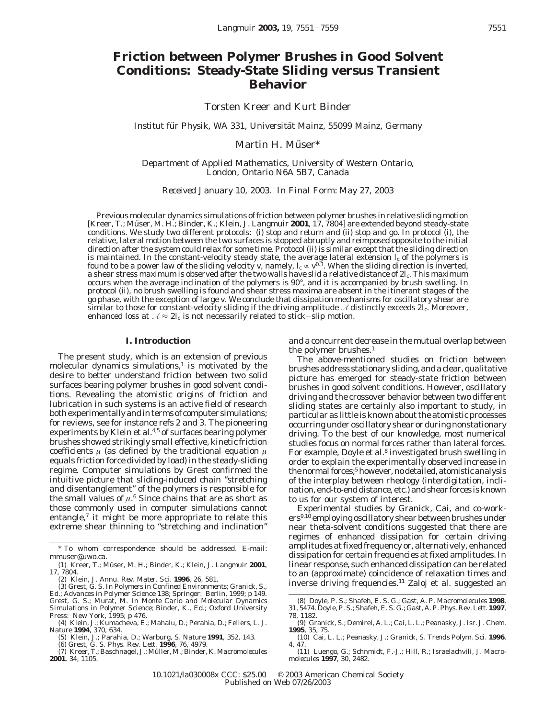# **Friction between Polymer Brushes in Good Solvent Conditions: Steady-State Sliding versus Transient Behavior**

Torsten Kreer and Kurt Binder

*Institut fu*¨ *r Physik, WA 331, Universita*¨*t Mainz, 55099 Mainz, Germany*

Martin H. Müser\*

*Department of Applied Mathematics, University of Western Ontario, London, Ontario N6A 5B7, Canada*

*Received January 10, 2003. In Final Form: May 27, 2003*

Previous molecular dynamics simulations of friction between polymer brushes in relative sliding motion [Kreer, T.; Müser, M. H.; Binder, K.; Klein, J. *Langmuir* 2001, 17, 7804] are extended beyond steady-state conditions. We study two different protocols: (i) stop and return and (ii) stop and go. In protocol (i), the relative, lateral motion between the two surfaces is stopped abruptly and reimposed opposite to the initial direction after the system could relax for some time. Protocol (ii) is similar except that the sliding direction is maintained. In the constant-velocity steady state, the average lateral extension  $l_{\rm c}$  of the polymers is found to be a power law of the sliding velocity *v*, namely,  $l_{\rm c}\propto\nu^{0.3}$ . When the sliding direction is inverted, a shear stress maximum is observed after the two walls have slid a relative distance of 2*l*c. This maximum occurs when the average inclination of the polymers is 90°, and it is accompanied by brush swelling. In protocol (ii), no brush swelling is found and shear stress maxima are absent in the itinerant stages of the go phase, with the exception of large *v*. We conclude that dissipation mechanisms for oscillatory shear are similar to those for constant-velocity sliding if the driving amplitude *A* distinctly exceeds 2*l*c. Moreover, enhanced loss at  $\lambda \approx 2l_c$  is not necessarily related to stick-slip motion.

### **I. Introduction**

The present study, which is an extension of previous molecular dynamics simulations, $<sup>1</sup>$  is motivated by the</sup> desire to better understand friction between two solid surfaces bearing polymer brushes in good solvent conditions. Revealing the atomistic origins of friction and lubrication in such systems is an active field of research both experimentally and in terms of computer simulations; for reviews, see for instance refs 2 and 3. The pioneering experiments by Klein et al.<sup>4,5</sup> of surfaces bearing polymer brushes showed strikingly small effective, kinetic friction coefficients  $\mu$  (as defined by the traditional equation  $\mu$ equals friction force divided by load) in the steady-sliding regime. Computer simulations by Grest confirmed the intuitive picture that sliding-induced chain "stretching and disentanglement" of the polymers is responsible for the small values of  $\mu$ <sup>6</sup> Since chains that are as short as those commonly used in computer simulations cannot entangle,<sup>7</sup> it might be more appropriate to relate this extreme shear thinning to "stretching and inclination"

and a concurrent decrease in the mutual overlap between the polymer brushes.<sup>1</sup>

The above-mentioned studies on friction between brushes address stationary sliding, and a clear, qualitative picture has emerged for steady-state friction between brushes in good solvent conditions. However, oscillatory driving and the crossover behavior between two different sliding states are certainly also important to study, in particular as little is known about the atomistic processes occurring under oscillatory shear or during nonstationary driving. To the best of our knowledge, most numerical studies focus on normal forces rather than lateral forces. For example, Doyle et al.<sup>8</sup> investigated brush swelling in order to explain the experimentally observed increase in the normal forces;<sup>5</sup> however, no detailed, atomistic analysis of the interplay between rheology (interdigitation, inclination, end-to-end distance, etc.) and shear forces is known to us for our system of interest.

Experimental studies by Granick, Cai, and co-workers<sup>9,10</sup> employing oscillatory shear between brushes under near theta-solvent conditions suggested that there are regimes of enhanced dissipation for certain driving amplitudes at fixed frequency or, alternatively, enhanced dissipation for certain frequencies at fixed amplitudes. In linear response, such enhanced dissipation can be related to an (approximate) coincidence of relaxation times and inverse driving frequencies.11 Zaloj et al. suggested an

<sup>\*</sup> To whom correspondence should be addressed. E-mail: mmuser@uwo.ca.

<sup>(1)</sup> Kreer, T.; Müser, M. H.; Binder, K.; Klein, J. *Langmuir* 2001, *17*, 7804.

<sup>(2)</sup> Klein, J. *Annu. Rev. Mater. Sci*. **1996**, *26*, 581. (3) Grest, G. S. In *Polymers in Confined Environments*; Granick, S., Ed.; Advances in Polymer Science 138; Springer: Berlin, 1999; p 149. Grest, G. S.; Murat, M. In *Monte Carlo and Molecular Dynamics Simulations in Polymer Science*; Binder, K., Ed.; Oxford University Press: New York, 1995; p 476.

<sup>(4)</sup> Klein, J.; Kumacheva, E.; Mahalu, D.; Perahia, D.; Fellers, L. J. *Nature* **1994**, *370*, 634.

<sup>(5)</sup> Klein, J.; Parahia, D.; Warburg, S. *Nature* **1991**, *352*, 143. (6) Grest, G. S. *Phys. Rev. Lett.* **1996**, *76*, 4979.

<sup>(7)</sup> Kreer, T.; Baschnagel, J.; Mu¨ ller, M.; Binder, K. *Macromolecules* **2001**, *34*, 1105.

<sup>(8)</sup> Doyle, P. S.; Shafeh, E. S. G.; Gast, A. P. *Macromolecules* **1998**, *31*, 5474. Doyle, P. S.; Shafeh, E. S. G.; Gast, A. P. *Phys. Rev. Lett*. **1997**, *78*, 1182.

<sup>(9)</sup> Granick, S.; Demirel, A. L.; Cai, L. L.; Peanasky, J. *Isr. J. Chem.* **1995**, *35*, 75.

<sup>(10)</sup> Cai, L. L.; Peanasky, J.; Granick, S. *Trends Polym. Sci*. **1996**, *4*, 47.

<sup>(11)</sup> Luengo, G.; Schnmidt, F.-J.; Hill, R.; Israelachvili, J. *Macromolecules* **1997**, *30*, 2482.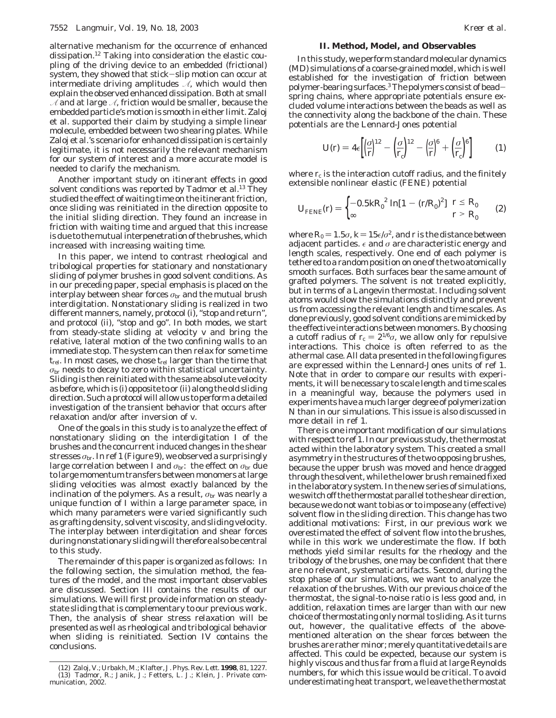alternative mechanism for the occurrence of enhanced dissipation.12 Taking into consideration the elastic coupling of the driving device to an embedded (frictional) system, they showed that stick-slip motion can occur at intermediate driving amplitudes  $\mathcal{A}$ , which would then explain the observed enhanced dissipation. Both at small  $\mathcal{A}$  and at large  $\mathcal{A}$ , friction would be smaller, because the embedded particle's motion is smooth in either limit. Zaloj et al. supported their claim by studying a simple linear molecule, embedded between two shearing plates. While Zaloj et al.'s scenario for enhanced dissipation is certainly legitimate, it is not necessarily the relevant mechanism for our system of interest and a more accurate model is needed to clarify the mechanism.

Another important study on itinerant effects in good solvent conditions was reported by Tadmor et al.<sup>13</sup> They studied the effect of waiting time on the itinerant friction, once sliding was reinitiated in the direction opposite to the initial sliding direction. They found an increase in friction with waiting time and argued that this increase is due to the mutual interpenetration of the brushes, which increased with increasing waiting time.

In this paper, we intend to contrast rheological and tribological properties for stationary and nonstationary sliding of polymer brushes in good solvent conditions. As in our preceding paper, special emphasis is placed on the interplay between shear forces  $\sigma_{\rm br}$  and the mutual brush interdigitation. Nonstationary sliding is realized in two different manners, namely, protocol (i), "stop and return", and protocol (ii), "stop and go". In both modes, we start from steady-state sliding at velocity *v* and bring the relative, lateral motion of the two confining walls to an immediate stop. The system can then relax for some time *t*rel. In most cases, we chose *t*rel larger than the time that  $\sigma_{\rm br}$  needs to decay to zero within statistical uncertainty. Sliding is then reinitiated with the same absolute velocity as before, which is (i) opposite to or (ii) along the old sliding direction. Such a protocol will allow us to perform a detailed investigation of the transient behavior that occurs after relaxation and/or after inversion of *v*.

One of the goals in this study is to analyze the effect of nonstationary sliding on the interdigitation *I* of the brushes and the concurrent induced changes in the shear stresses  $\sigma_{\rm br}$ . In ref 1 (Figure 9), we observed a surprisingly large correlation between *I* and  $\sigma_{\rm br}$ : the effect on  $\sigma_{\rm br}$  due to large momentum transfers between monomers at large sliding velocities was almost exactly balanced by the inclination of the polymers. As a result,  $\sigma_{\rm br}$  was nearly a unique function of *I* within a large parameter space, in which many parameters were varied significantly such as grafting density, solvent viscosity, and sliding velocity. The interplay between interdigitation and shear forces during nonstationary sliding will therefore also be central to this study.

The remainder of this paper is organized as follows: In the following section, the simulation method, the features of the model, and the most important observables are discussed. Section III contains the results of our simulations. We will first provide information on steadystate sliding that is complementary to our previous work. Then, the analysis of shear stress relaxation will be presented as well as rheological and tribological behavior when sliding is reinitiated. Section IV contains the conclusions.

## **II. Method, Model, and Observables**

In this study, we perform standard molecular dynamics (MD) simulations of a coarse-grained model, which is well established for the investigation of friction between polymer-bearing surfaces.3The polymers consist of beadspring chains, where appropriate potentials ensure excluded volume interactions between the beads as well as the connectivity along the backbone of the chain. These potentials are the Lennard-Jones potential

$$
U(r) = 4\epsilon \left[ \left( \frac{\sigma}{r} \right)^{12} - \left( \frac{\sigma}{r_c} \right)^{12} - \left( \frac{\sigma}{r} \right)^6 + \left( \frac{\sigma}{r_c} \right)^6 \right] \tag{1}
$$

where  $r_c$  is the interaction cutoff radius, and the finitely extensible nonlinear elastic (FENE) potential

$$
U_{\text{FENE}}(r) = \begin{cases} -0.5kR_0^2 \ln[1 - (r/R_0)^2] & r \le R_0 \\ \infty & r > R_0 \end{cases}
$$
 (2)

where  $R_0 = 1.5\sigma$ ,  $k = 15\epsilon/\sigma^2$ , and *r* is the distance between adjacent particles.  $\epsilon$  and  $\sigma$  are characteristic energy and length scales, respectively. One end of each polymer is tethered to a random position on one of the two atomically smooth surfaces. Both surfaces bear the same amount of grafted polymers. The solvent is not treated explicitly, but in terms of a Langevin thermostat. Including solvent atoms would slow the simulations distinctly and prevent us from accessing the relevant length and time scales. As done previously, good solvent conditions are mimicked by the effective interactions between monomers. By choosing a cutoff radius of  $r_c = 2^{1/6}\sigma$ , we allow only for repulsive interactions. This choice is often referred to as the athermal case. All data presented in the following figures are expressed within the Lennard-Jones units of ref 1. Note that in order to compare our results with experiments, it will be necessary to scale length and time scales in a meaningful way, because the polymers used in experiments have a much larger degree of polymerization *N* than in our simulations. This issue is also discussed in more detail in ref 1.

There is one important modification of our simulations with respect to ref 1. In our previous study, the thermostat acted within the laboratory system. This created a small asymmetry in the structures of the two opposing brushes, because the upper brush was moved and hence dragged through the solvent, while the lower brush remained fixed in the laboratory system. In the new series of simulations, we switch off the thermostat parallel to the shear direction, because we do not want to bias or to impose any (effective) solvent flow in the sliding direction. This change has two additional motivations: First, in our previous work we overestimated the effect of solvent flow into the brushes, while in this work we underestimate the flow. If both methods yield similar results for the rheology and the tribology of the brushes, one may be confident that there are no relevant, systematic artifacts. Second, during the stop phase of our simulations, we want to analyze the relaxation of the brushes. With our previous choice of the thermostat, the signal-to-noise ratio is less good and, in addition, relaxation times are larger than with our new choice of thermostating only normal to sliding. As it turns out, however, the qualitative effects of the abovementioned alteration on the shear forces between the brushes are rather minor; merely quantitative details are affected. This could be expected, because our system is highly viscous and thus far from a fluid at large Reynolds numbers, for which this issue would be critical. To avoid underestimating heat transport, we leave the thermostat

<sup>(12)</sup> Zaloj, V.; Urbakh, M.; Klafter, J. *Phys. Rev. Lett.* **1998**, *81*, 1227. (13) Tadmor, R.; Janik, J.; Fetters, L. J.; Klein, J. Private communication, 2002.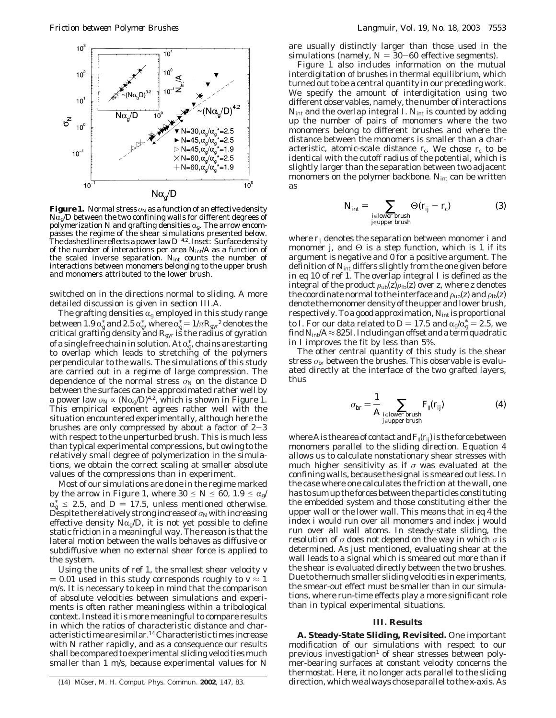

**Figure 1.** Normal stress  $\sigma_\text{N}$  as a function of an effective density  $N\bar{\alpha}_g/D$  between the two confining walls for different degrees of polymerization N and grafting densities  $\alpha_{g}$ . The arrow encompasses the regime of the shear simulations presented below. The dashed line reflects a power law*D*-4.2. Inset: Surface density of the number of interactions per area *N*int/*A* as a function of the scaled inverse separation. *N*int counts the number of interactions between monomers belonging to the upper brush and monomers attributed to the lower brush.

switched on in the directions normal to sliding. A more detailed discussion is given in section III.A.

The grafting densities  $\alpha_{g}$  employed in this study range between 1.9  $\alpha_{\rm g}^*$  and 2.5  $\alpha_{\rm g}^*$ , where  $\alpha_{\rm gyr}^*$  is the radius of gyration critical grafting density and *R*<sub>gyr</sub> is the radius of gyration of a single free chain in solution. At  $\alpha_{\rm g}^*$ , chains are starting<br>to loverlan, which, leads, to stretching, of, the nolymers to overlap which leads to stretching of the polymers perpendicular to the walls. The simulations of this study are carried out in a regime of large compression. The dependence of the normal stress  $\sigma_N$  on the distance *D* between the surfaces can be approximated rather well by a power law  $\sigma_N \propto (N\alpha_g/D)^{4.2}$ , which is shown in Figure 1. This empirical exponent agrees rather well with the situation encountered experimentally, although here the brushes are only compressed by about a factor of  $2-3$ with respect to the unperturbed brush. This is much less than typical experimental compressions, but owing to the relatively small degree of polymerization in the simulations, we obtain the correct scaling at smaller absolute values of the compressions than in experiment.

Most of our simulations are done in the regime marked by the arrow in Figure 1, where  $30 \le N \le 60$ ,  $1.9 \le \alpha_{\rm g}$ /  $\alpha_{g} \geq 2.3$ , and  $D = 17.3$ , uness mentioned otherwise.<br>Despite the relatively strong increase of  $\sigma_{N}$  with increasing  $\alpha_{\sigma}^{*} \leq 2.5$ , and  $D = 17.5$ , unless mentioned otherwise. effective density  $N\alpha_{\rm g}/D$ , it is not yet possible to define static friction in a meaningful way. The reason is that the lateral motion between the walls behaves as diffusive or subdiffusive when no external shear force is applied to the system.

Using the units of ref 1, the smallest shear velocity *v*  $= 0.01$  used in this study corresponds roughly to  $v \approx 1$ m/s. It is necessary to keep in mind that the comparison of absolute velocities between simulations and experiments is often rather meaningless within a tribological context. Instead it is more meaningful to compare results in which the ratios of characteristic distance and characteristic time are similar.14 Characteristic times increase with *N* rather rapidly, and as a consequence our results shall be compared to experimental sliding velocities much smaller than 1 m/s, because experimental values for *N*

are usually distinctly larger than those used in the simulations (namely,  $N = 30 - 60$  effective segments).

Figure 1 also includes information on the mutual interdigitation of brushes in thermal equilibrium, which turned out to be a central quantity in our preceding work. We specify the amount of interdigitation using two different observables, namely, the number of interactions *N*<sub>int</sub> and the overlap integral *I*. *N*<sub>int</sub> is counted by adding up the number of pairs of monomers where the two monomers belong to different brushes and where the distance between the monomers is smaller than a characteristic, atomic-scale distance  $r_c$ . We chose  $r_c$  to be identical with the cutoff radius of the potential, which is slightly larger than the separation between two adjacent monomers on the polymer backbone. *N*<sub>int</sub> can be written as

$$
N_{\text{int}} = \sum_{\substack{j \in \text{lower brush} \\ j \in \text{upper brush}}} \Theta(r_{jj} - r_{\text{c}}) \tag{3}
$$

where *rij* denotes the separation between monomer *i* and monomer *j*, and  $\Theta$  is a step function, which is 1 if its argument is negative and 0 for a positive argument. The definition of *N*int differs slightly from the one given before in eq 10 of ref 1. The overlap integral *I* is defined as the integral of the product  $\rho_{\text{ub}}(z)\rho_{\text{lb}}(z)$  over *z*, where *z* denotes the coordinate normal to the interface and  $\rho_{\rm ub}(z)$  and  $\rho_{\rm lb}(z)$ denote the monomer density of the upper and lower brush, respectively. To a good approximation, *N*int is proportional to *I*. For our data related to  $D = 17.5$  and  $\alpha_g / \alpha_g^* = 2.5$ , we find  $N_{\rm tot} / A \approx 825 I$  Including an offset and a term quadratic find  $N_{\rm int}/A$   $\approx$  825*I*. Including an offset and a term quadratic in *I* improves the fit by less than 5%.

The other central quantity of this study is the shear stress  $\sigma_{\rm br}$  between the brushes. This observable is evaluated directly at the interface of the two grafted layers, thus

$$
\sigma_{\text{br}} = \frac{1}{A} \sum_{\substack{j \in \text{lower brush} \\ j \in \text{upper brush}}} F_{||}(r_{jj}) \tag{4}
$$

where *A* is the area of contact and  $F_{\parallel}(r_{ij})$  is the force between monomers parallel to the sliding direction. Equation 4 allows us to calculate *non*stationary shear stresses with much higher sensitivity as if *σ* was evaluated at the confining walls, because the signal is smeared out less. In the case where one calculates the friction at the wall, one has to sum up the forces between the particles constituting the embedded system and those constituting either the upper wall or the lower wall. This means that in eq 4 the index *i* would run over all monomers and index *j* would run over all wall atoms. In steady-state sliding, the resolution of *σ* does not depend on the way in which *σ* is determined. As just mentioned, evaluating shear at the wall leads to a signal which is smeared out more than if the shear is evaluated directly between the two brushes. Due to the much smaller sliding velocities in experiments, the smear-out effect must be smaller than in our simulations, where run-time effects play a more significant role than in typical experimental situations.

### **III. Results**

**A. Steady-State Sliding, Revisited.** One important modification of our simulations with respect to our previous investigation<sup>1</sup> of shear stresses between polymer-bearing surfaces at constant velocity concerns the thermostat. Here, it no longer acts parallel to the sliding (14) Mu¨ ser, M. H. *Comput. Phys. Commun.* **2002**, *147*, 83. direction, which we always chose parallel to the *x*-axis. As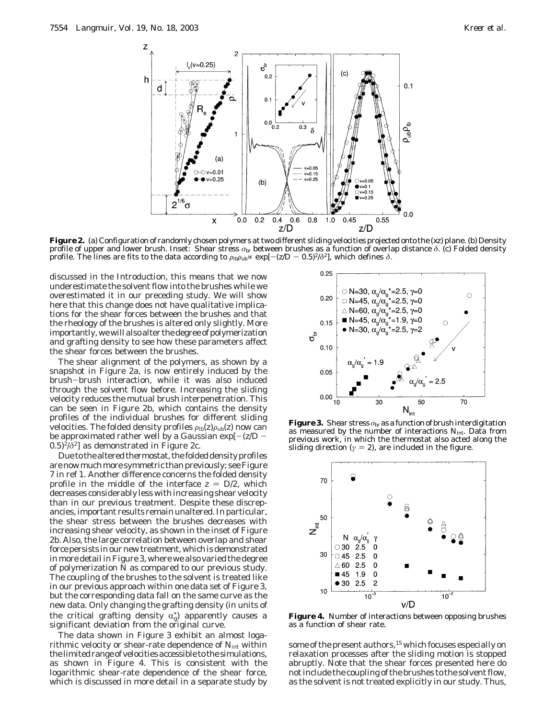

**Figure 2.** (a) Configuration of randomly chosen polymers at two different sliding velocities projected onto the (*xz*) plane. (b) Density profile of upper and lower brush. Inset: Shear stress *σ*br between brushes as a function of overlap distance *δ*. (c) Folded density profile. The lines are fits to the data according to  $\rho_{lb} \rho_{ub} \sim \exp[-(z/D - 0.5)^2/\delta^2]$ , which defines *δ*.

discussed in the Introduction, this means that we now underestimate the solvent flow into the brushes while we overestimated it in our preceding study. We will show here that this change does not have qualitative implications for the shear forces between the brushes and that the rheology of the brushes is altered only slightly. More importantly, we will also alter the degree of polymerization and grafting density to see how these parameters affect the shear forces between the brushes.

The shear alignment of the polymers, as shown by a snapshot in Figure 2a, is now entirely induced by the brush-brush interaction, while it was also induced through the solvent flow before. Increasing the sliding velocity reduces the mutual brush interpenetration. This can be seen in Figure 2b, which contains the density profiles of the individual brushes for different sliding velocities. The folded density profiles  $\rho_{\text{lb}}(z)\rho_{\text{ub}}(z)$  now can be approximated rather well by a Gaussian exp[-(*z*/*<sup>D</sup>* -  $(0.5)^2/\delta^2$ ] as demonstrated in Figure 2c.

Due to the altered thermostat, the folded density profiles are now much more symmetric than previously; see Figure 7 in ref 1. Another difference concerns the folded density profile in the middle of the interface  $z = D/2$ , which decreases considerably less with increasing shear velocity than in our previous treatment. Despite these discrepancies, important results remain unaltered. In particular, the shear stress between the brushes decreases with increasing shear velocity, as shown in the inset of Figure 2b. Also, the large correlation between overlap and shear force persists in our new treatment, which is demonstrated in more detail in Figure 3, where we also varied the degree of polymerization *N* as compared to our previous study. The coupling of the brushes to the solvent is treated like in our previous approach within one data set of Figure 3, but the corresponding data fall on the same curve as the new data. Only changing the grafting density (in units of the critical grafting density  $\alpha_{\rm g}^*$  apparently causes a significant deviation from the original curve significant deviation from the original curve.

The data shown in Figure 3 exhibit an almost logarithmic velocity or shear-rate dependence of *N*int within the limited range of velocities accessible to the simulations, as shown in Figure 4. This is consistent with the logarithmic shear-rate dependence of the shear force, which is discussed in more detail in a separate study by



**Figure 3.** Shear stress  $\sigma_{\text{br}}$  as a function of brush interdigitation as measured by the number of interactions  $N_{\text{int}}$ . Data from previous work, in which the thermostat also acted along the sliding direction ( $\gamma = 2$ ), are included in the figure.



**Figure 4.** Number of interactions between opposing brushes as a function of shear rate.

some of the present authors,<sup>15</sup> which focuses especially on relaxation processes after the sliding motion is stopped abruptly. Note that the shear forces presented here do not include the coupling of the brushes to the solvent flow, as the solvent is not treated explicitly in our study. Thus,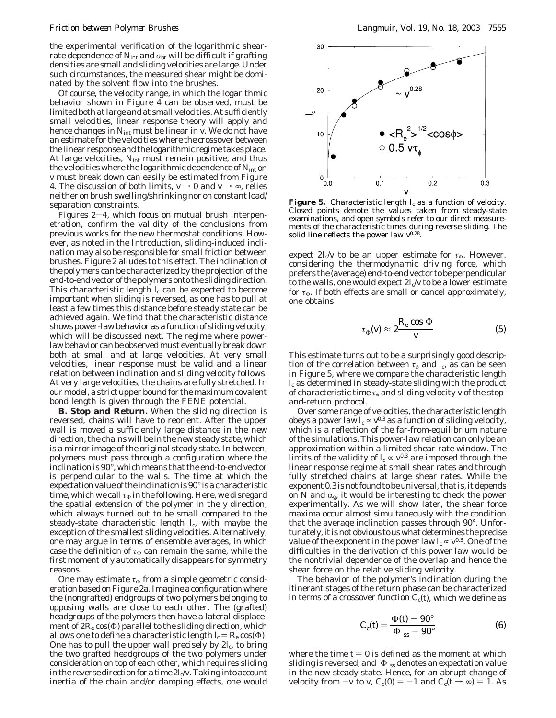the experimental verification of the logarithmic shearrate dependence of  $N_{\text{int}}$  and  $\sigma_{\text{br}}$  will be difficult if grafting densities are small and sliding velocities are large. Under such circumstances, the measured shear might be dominated by the solvent flow into the brushes.

Of course, the velocity range, in which the logarithmic behavior shown in Figure 4 can be observed, must be limited both at large and at small velocities. At sufficiently small velocities, linear response theory will apply and hence changes in *N*int must be linear in *v*. We do not have an estimate for the velocities where the crossover between the linear response and the logarithmic regime takes place. At large velocities, *N*int must remain positive, and thus the velocities where the logarithmic dependence of  $N_{\text{int}}$  on *v* must break down can easily be estimated from Figure 4. The discussion of both limits,  $v \rightarrow 0$  and  $v \rightarrow \infty$ , relies neither on brush swelling/shrinking nor on constant load/ separation constraints.

Figures  $2-4$ , which focus on mutual brush interpenetration, confirm the validity of the conclusions from previous works for the new thermostat conditions. However, as noted in the Introduction, sliding-induced inclination may also be responsible for small friction between brushes. Figure 2 alludes to this effect. The inclination of the polymers can be characterized by the projection of the end-to-end vector of the polymers onto the sliding direction. This characteristic length  $I_c$  can be expected to become important when sliding is reversed, as one has to pull at least a few times this distance before steady state can be achieved again. We find that the characteristic distance shows power-law behavior as a function of sliding velocity, which will be discussed next. The regime where powerlaw behavior can be observed must eventually break down both at small and at large velocities. At very small velocities, linear response must be valid and a linear relation between inclination and sliding velocity follows. At very large velocities, the chains are fully stretched. In our model, a strict upper bound for the maximum covalent bond length is given through the FENE potential.

**B. Stop and Return.** When the sliding direction is reversed, chains will have to reorient. After the upper wall is moved a sufficiently large distance in the new direction, the chains will be in the new steady state, which is a mirror image of the original steady state. In between, polymers must pass through a configuration where the inclination is 90°, which means that the end-to-end vector is perpendicular to the walls. The time at which the expectation value of the inclination is 90° is a characteristic time, which we call  $\tau_{\Phi}$  in the following. Here, we disregard the spatial extension of the polymer in the *y* direction, which always turned out to be small compared to the steady-state characteristic length  $l_c$ , with maybe the exception of the smallest sliding velocities. Alternatively, one may argue in terms of ensemble averages, in which case the definition of  $\tau_{\Phi}$  can remain the same, while the first moment of *y* automatically disappears for symmetry reasons.

One may estimate  $\tau_{\Phi}$  from a simple geometric consideration based on Figure 2a. Imagine a configuration where the (nongrafted) endgroups of two polymers belonging to opposing walls are close to each other. The (grafted) headgroups of the polymers then have a lateral displacement of  $2R_{\rm e}$  cos( $\Phi$ ) parallel to the sliding direction, which allows one to define a characteristic length  $I_c = R_e \cos(\Phi)$ . One has to pull the upper wall precisely by 2*l*<sub>c</sub>, to bring the two grafted headgroups of the two polymers under consideration on top of each other, which requires sliding in the reverse direction for a time  $2l_c/v$ . Taking into account inertia of the chain and/or damping effects, one would



**Figure 5.** Characteristic length  $I_c$  as a function of velocity. Closed points denote the values taken from steady-state examinations, and open symbols refer to our direct measurements of the characteristic times during reverse sliding. The solid line reflects the power law  $v^{0.28}$ .

expect  $2I_c/v$  to be an upper estimate for  $\tau_\Phi$ . However, considering the thermodynamic driving force, which prefers the (average) end-to-end vector to be perpendicular to the walls, one would expect  $2*l*<sub>c</sub>/*v*$  to be a lower estimate for  $\tau_{\Phi}$ . If both effects are small or cancel approximately, one obtains

$$
\tau_{\Phi}(v) \approx 2 \frac{R_{\rm e} \cos \Phi}{v} \tag{5}
$$

This estimate turns out to be a surprisingly good description of the correlation between  $\tau_{\phi}$  and  $I_c$ , as can be seen in Figure 5, where we compare the characteristic length *l*<sup>c</sup> as determined in steady-state sliding with the product of characteristic time *τ<sup>φ</sup>* and sliding velocity *v* of the stopand-return protocol.

Over some range of velocities, the characteristic length obeys a power law  $I_c \propto v^{0.3}$  as a function of sliding velocity, which is a reflection of the far-from-equilibrium nature of the simulations. This power-law relation can only be an approximation within a limited shear-rate window. The limits of the validity of  $I_c \propto v^{0.3}$  are imposed through the linear response regime at small shear rates and through fully stretched chains at large shear rates. While the exponent 0.3 is not found to be universal, that is, it depends on  $N$  and  $\alpha_{\rm g}$ , it would be interesting to check the power experimentally. As we will show later, the shear force maxima occur almost simultaneously with the condition that the average inclination passes through 90°. Unfortunately, it is not obvious to us what determines the precise value of the exponent in the power law  $l_c \propto v^{0.3}$ . One of the difficulties in the derivation of this power law would be the nontrivial dependence of the overlap and hence the shear force on the relative sliding velocity.

The behavior of the polymer's inclination during the itinerant stages of the return phase can be characterized in terms of a crossover function  $C_c(t)$ , which we define as

$$
C_{\rm c}(t) = \frac{\Phi(t) - 90^{\circ}}{\langle \Phi \rangle_{\rm ss} - 90^{\circ}}
$$
 (6)

where the time  $t = 0$  is defined as the moment at which sliding is reversed, and  $\langle \Phi \rangle$ <sub>ss</sub> denotes an expectation value in the new steady state. Hence, for an abrupt change of velocity from  $-v$  to *v*,  $C_c(0) = -1$  and  $C_c(t \rightarrow \infty) = 1$ . As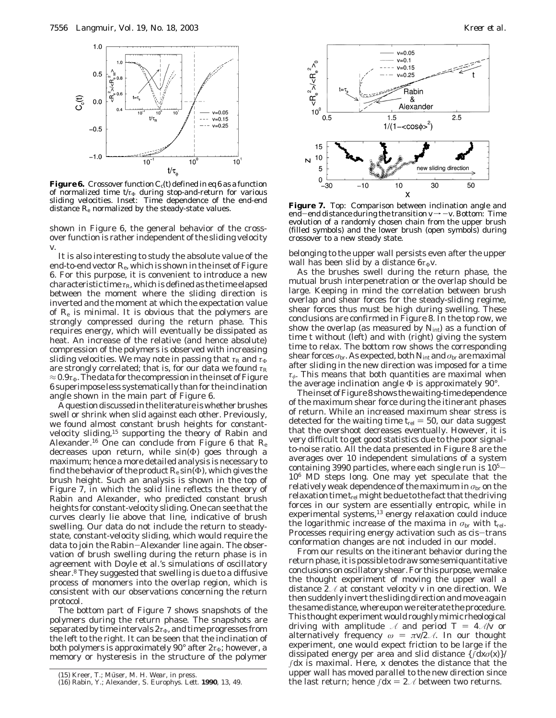

**Figure 6.** Crossover function  $C_c(t)$  defined in eq 6 as a function of normalized time *t*/*τ*<sub>Φ</sub> during stop-and-return for various sliding velocities. Inset: Time dependence of the end-end distance  $R_{e}$  normalized by the steady-state values.

shown in Figure 6, the general behavior of the crossover function is rather independent of the sliding velocity *v*.

It is also interesting to study the absolute value of the end-to-end vector  $R_e$ , which is shown in the inset of Figure 6. For this purpose, it is convenient to introduce a new characteristic time  $\tau_R$ , which is defined as the time elapsed between the moment where the sliding direction is inverted and the moment at which the expectation value of  $R_{e}$  is minimal. It is obvious that the polymers are strongly compressed during the return phase. This requires energy, which will eventually be dissipated as heat. An increase of the relative (and hence absolute) compression of the polymers is observed with increasing sliding velocities. We may note in passing that  $\tau_R$  and  $\tau_\Phi$ are strongly correlated; that is, for our data we found  $\tau_R$  $\approx$  0.9 $\tau_{\Phi}$ . The data for the compression in the inset of Figure 6 superimpose less systematically than for the inclination angle shown in the main part of Figure 6.

A question discussed in the literature is whether brushes swell or shrink when slid against each other. Previously, we found almost constant brush heights for constantvelocity sliding,15 supporting the theory of Rabin and Alexander.16 One can conclude from Figure 6 that *R*<sup>e</sup> decreases upon return, while sin(Φ) goes through a maximum; hence a more detailed analysis is necessary to find the behavior of the product  $R_{\rm e}$  sin( $\Phi$ ), which gives the brush height. Such an analysis is shown in the top of Figure 7, in which the solid line reflects the theory of Rabin and Alexander, who predicted constant brush heights for constant-velocity sliding. One can see that the curves clearly lie above that line, indicative of brush swelling. Our data do not include the return to steadystate, constant-velocity sliding, which would require the data to join the Rabin-Alexander line again. The observation of brush swelling during the return phase is in agreement with Doyle et al.'s simulations of oscillatory shear.8 They suggested that swelling is due to a diffusive process of monomers into the overlap region, which is consistent with our observations concerning the return protocol.

The bottom part of Figure 7 shows snapshots of the polymers during the return phase. The snapshots are separated by time intervals  $2\tau_{\Phi}$ , and time progresses from the left to the right. It can be seen that the inclination of both polymers is approximately 90 $^{\circ}$  after  $2\tau_{\Phi}$ ; however, a memory or hysteresis in the structure of the polymer



Figure 7. Top: Comparison between inclination angle and end-end distance during the transition  $v \rightarrow -v$ . Bottom: Time evolution of a randomly chosen chain from the upper brush (filled symbols) and the lower brush (open symbols) during crossover to a new steady state.

belonging to the upper wall persists even after the upper wall has been slid by a distance  $6\tau_{\Phi}v$ .

As the brushes swell during the return phase, the mutual brush interpenetration or the overlap should be large. Keeping in mind the correlation between brush overlap and shear forces for the steady-sliding regime, shear forces thus must be high during swelling. These conclusions are confirmed in Figure 8. In the top row, we show the overlap (as measured by  $N_{\text{int}}$ ) as a function of time *t* without (left) and with (right) giving the system time to relax. The bottom row shows the corresponding shear forces  $\sigma_{\rm br}$ . As expected, both  $N_{\rm int}$  and  $\sigma_{\rm br}$  are maximal after sliding in the new direction was imposed for a time *τφ*. This means that both quantities are maximal when the average inclination angle  $\Phi$  is approximately 90°.

The inset of Figure 8 shows the waiting-time dependence of the maximum shear force during the itinerant phases of return. While an increased maximum shear stress is detected for the waiting time  $t_{rel} = 50$ , our data suggest that the overshoot decreases eventually. However, it is very difficult to get good statistics due to the poor signalto-noise ratio. All the data presented in Figure 8 are the averages over 10 independent simulations of a system containing 3990 particles, where each single run is  $10<sup>5</sup>$ 106 MD steps long. One may yet speculate that the relatively weak dependence of the maximum in  $σ$ <sub>br</sub> on the relaxation time *t*rel might be due to the fact that the driving forces in our system are essentially entropic, while in experimental systems,<sup>13</sup> energy relaxation could induce the logarithmic increase of the maxima in  $\sigma_{\rm br}$  with  $t_{\rm rel}$ . Processes requiring energy activation such as cis-trans conformation changes are not included in our model.

From our results on the itinerant behavior during the return phase, it is possible to draw some semiquantitative conclusions on oscillatory shear. For this purpose, we make the thought experiment of moving the upper wall a distance 2*A* at constant velocity *v* in one direction. We then suddenly invert the sliding direction and move again the same distance, whereupon we reiterate the procedure. This thought experiment would roughly mimic rheological driving with amplitude  $\mathcal A$  and period  $T = 4 \mathcal{A}/v$  or alternatively frequency  $\omega = \pi v/2 \mathcal{A}$ . In our thought experiment, one would expect friction to be large if the dissipated energy per area and slid distance {∫d*xσ*(*x*)}/ ∫d*x* is maximal. Here, *x* denotes the distance that the upper wall has moved parallel to the new direction since the last return; hence ∫d*x* = 2*A* between two returns. (15) Kreer, T.; Müser, M. H. *Wear*, in press. (16) Rabin, Y.; Alexander, S. *Europhys. Lett*. **1990**, 13, 49. (16) Rabin, Y.; Alexander, S. *Europhys. Lett*. **1990** 

<sup>(16)</sup> Rabin, Y.; Alexander, S. *Europhys. Lett*. **1990**, *13*, 49.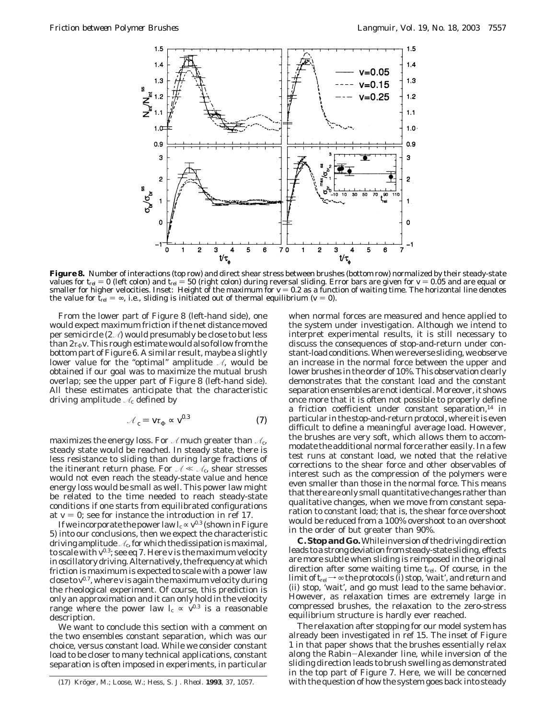

**Figure 8.** Number of interactions (top row) and direct shear stress between brushes (bottom row) normalized by their steady-state values for *t<sub>rel</sub>* = 0 (left colon) and *t<sub>rel</sub> = 50 (right colon) during reversal sliding. Error bars are given for <i>v* = 0.05 and are equal or<br>smaller for higher velocities. Inset: Height of the maximum for *v* = 0.2 as smaller for higher velocities. Inset: Height of the maximum for  $v = 0.2$  as a function of waiting time. The horizontal line denotes<br>the value for *t*<sub>re</sub> = ∞, i.e., sliding is initiated out of thermal equilibrium ( $v = 0$ ). the value for  $\bar{t}_{rel} = \infty$ , i.e., sliding is initiated out of thermal equilibrium ( $v = 0$ ).

From the lower part of Figure 8 (left-hand side), one would expect maximum friction if the net distance moved per semicircle (2*A*) would presumably be close to but less than  $2\tau_{\Phi}$ *v*. This rough estimate would also follow from the bottom part of Figure 6. A similar result, maybe a slightly lower value for the "optimal" amplitude *A*, would be obtained if our goal was to maximize the mutual brush overlap; see the upper part of Figure 8 (left-hand side). All these estimates anticipate that the characteristic driving amplitude *A*<sup>c</sup> defined by

$$
\mathcal{A}_{c} = \mathbf{v} \mathbf{t}_{\Phi} \propto \mathbf{v}^{0.3} \tag{7}
$$

maximizes the energy loss. For  $\mathcal A$  much greater than  $\mathcal A_c$ , steady state would be reached. In steady state, there is less resistance to sliding than during large fractions of the itinerant return phase. For  $A \ll A_0$ , shear stresses would not even reach the steady-state value and hence energy loss would be small as well. This power law might be related to the time needed to reach steady-state conditions if one starts from equilibrated configurations at  $v = 0$ ; see for instance the introduction in ref 17.

If we incorporate the power law  $I_{\rm c}$   $\propto$   $v^{0.3}$  (shown in Figure 5) into our conclusions, then we expect the characteristic driving amplitude  $A_c$ , for which the dissipation is maximal, to scale with *v*0.3; see eq 7. Here *v* is the maximum velocity in oscillatory driving. Alternatively, the frequency at which friction is maximum is expected to scale with a power law close to *v*0.7, where *v* is again the maximum velocity during the rheological experiment. Of course, this prediction is only an approximation and it can only hold in the velocity range where the power law  $l_c \propto v^{0.3}$  is a reasonable description.

We want to conclude this section with a comment on the two ensembles constant separation, which was our choice, versus constant load. While we consider constant load to be closer to many technical applications, constant separation is often imposed in experiments, in particular

when normal forces are measured and hence applied to the system under investigation. Although we intend to interpret experimental results, it is still necessary to discuss the consequences of stop-and-return under constant-load conditions. When we reverse sliding, we observe an increase in the normal force between the upper and lower brushes in the order of 10%. This observation clearly demonstrates that the constant load and the constant separation ensembles are not identical. Moreover, it shows once more that it is often not possible to properly define a friction coefficient under constant separation, $14$  in particular in the stop-and-return protocol, where it is even difficult to define a meaningful average load. However, the brushes are very soft, which allows them to accommodate the additional normal force rather easily. In a few test runs at constant load, we noted that the relative corrections to the shear force and other observables of interest such as the compression of the polymers were even smaller than those in the normal force. This means that there are only small quantitative changes rather than qualitative changes, when we move from constant separation to constant load; that is, the shear force overshoot would be reduced from a 100% overshoot to an overshoot in the order of but greater than 90%.

**C. Stop and Go.**While inversion of the driving direction leads to a strong deviation from steady-state sliding, effects are more subtle when sliding is reimposed in the original direction after some waiting time *t*rel. Of course, in the limit of  $t_{\rm rel}$   $\rightarrow \infty$  the protocols (i) stop, 'wait', and *return* and (ii) stop, 'wait', and *go* must lead to the same behavior. However, as relaxation times are extremely large in compressed brushes, the relaxation to the zero-stress equilibrium structure is hardly ever reached.

The relaxation after stopping for our model system has already been investigated in ref 15. The inset of Figure 1 in that paper shows that the brushes essentially relax along the Rabin-Alexander line, while inversion of the sliding direction leads to brush swelling as demonstrated in the top part of Figure 7. Here, we will be concerned (17) Kröger, M.; Loose, W.; Hess, S. *J. Rheol.* **1993**, 37, 1057. with the question of how the system goes back into steady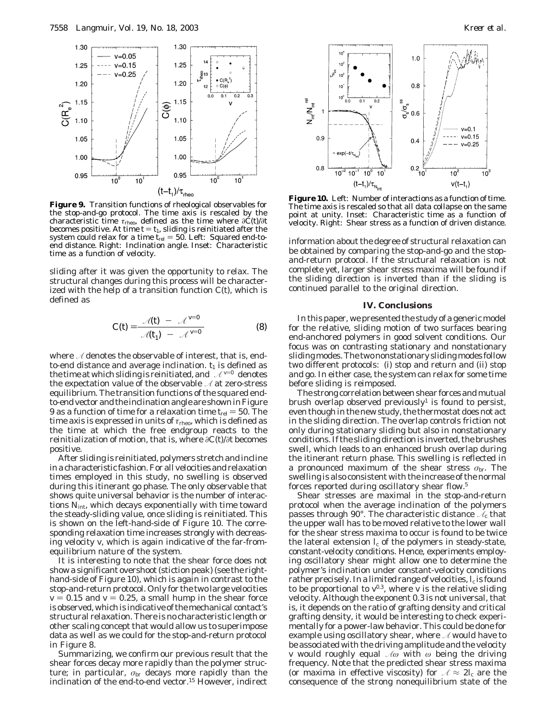

**Figure 9.** Transition functions of rheological observables for the stop-and-go protocol. The time axis is rescaled by the characteristic time *τ*rheo, defined as the time where *∂C*(*t*)/*∂t* becomes positive. At time  $t = t_1$ , sliding is reinitiated after the system could relax for a time  $t_{rel} = 50$ . Left: Squared end-toend distance. Right: Inclination angle. Inset: Characteristic time as a function of velocity.

sliding after it was given the opportunity to relax. The structural changes during this process will be characterized with the help of a transition function *C*(*t*), which is defined as

$$
C(t) = \frac{\langle \mathcal{A}(t) \rangle - \langle \mathcal{A}^{v=0} \rangle}{\langle \mathcal{A}(t_1) \rangle - \langle \mathcal{A}^{v=0} \rangle}
$$
(8)

where *A* denotes the observable of interest, that is, endto-end distance and average inclination.  $t_1$  is defined as the time at which sliding is reinitiated, and  $\langle \mathcal{A}^{v=0} \rangle$  denotes the expectation value of the observable *A* at zero-stress equilibrium. The transition functions of the squared endto-end vector and the inclination angle are shown in Figure 9 as a function of time for a relaxation time  $t_{rel} = 50$ . The time axis is expressed in units of *τ*<sub>rheo</sub>, which is defined as the time at which the free endgroup reacts to the reinitialization of motion, that is, where *∂C*(*t*)/*∂t* becomes positive.

After sliding is reinitiated, polymers stretch and incline in a characteristic fashion. For all velocities and relaxation times employed in this study, no swelling is observed during this itinerant go phase. The only observable that shows quite universal behavior is the number of interactions *N*int, which decays exponentially with time toward the steady-sliding value, once sliding is reinitiated. This is shown on the left-hand-side of Figure 10. The corresponding relaxation time increases strongly with decreasing velocity *v*, which is again indicative of the far-fromequilibrium nature of the system.

It is interesting to note that the shear force does not show a significant overshoot (stiction peak) (see the righthand-side of Figure 10), which is again in contrast to the stop-and-return protocol. Only for the two large velocities  $v = 0.15$  and  $v = 0.25$ , a small hump in the shear force is observed, which is indicative of the mechanical contact's structural relaxation. There is no characteristic length or other scaling concept that would allow us to superimpose data as well as we could for the stop-and-return protocol in Figure 8.

Summarizing, we confirm our previous result that the shear forces decay more rapidly than the polymer structure; in particular,  $\sigma_{\rm br}$  decays more rapidly than the inclination of the end-to-end vector.15 However, indirect



**Figure 10.** Left: Number of interactions as a function of time. The time axis is rescaled so that all data collapse on the same point at unity. Inset: Characteristic time as a function of velocity. Right: Shear stress as a function of driven distance.

information about the degree of structural relaxation can be obtained by comparing the stop-and-go and the stopand-return protocol. If the structural relaxation is not complete yet, larger shear stress maxima will be found if the sliding direction is inverted than if the sliding is continued parallel to the original direction.

### **IV. Conclusions**

In this paper, we presented the study of a generic model for the relative, sliding motion of two surfaces bearing end-anchored polymers in good solvent conditions. Our focus was on contrasting stationary and nonstationary sliding modes. The two nonstationary sliding modes follow two different protocols: (i) stop and return and (ii) stop and go. In either case, the system can relax for some time before sliding is reimposed.

The strong correlation between shear forces and mutual brush overlap observed previously<sup>1</sup> is found to persist, even though in the new study, the thermostat does not act in the sliding direction. The overlap controls friction not only during stationary sliding but also in nonstationary conditions. If the sliding direction is inverted, the brushes swell, which leads to an enhanced brush overlap during the itinerant return phase. This swelling is reflected in a pronounced maximum of the shear stress *σ*br. The swelling is also consistent with the increase of the normal forces reported during oscillatory shear flow.5

Shear stresses are maximal in the stop-and-return protocol when the average inclination of the polymers passes through 90°. The characteristic distance  $\mathcal{A}_{c}$  that the upper wall has to be moved relative to the lower wall for the shear stress maxima to occur is found to be *twice* the lateral extension  $l_c$  of the polymers in steady-state, constant-velocity conditions. Hence, experiments employing oscillatory shear might allow one to determine the polymer's inclination under constant-velocity conditions rather precisely. In a limited range of velocities,  $l_c$  is found to be proportional to  $v^{0.3}$ , where *v* is the relative sliding velocity. Although the exponent 0.3 is not universal, that is, it depends on the ratio of grafting density and critical grafting density, it would be interesting to check experimentally for a power-law behavior. This could be done for example using oscillatory shear, where *A* would have to be associated with the driving amplitude and the velocity *v* would roughly equal *Aω* with *ω* being the driving frequency. Note that the predicted shear stress maxima (or maxima in effective viscosity) for  $A \approx 2l_c$  are the consequence of the strong nonequilibrium state of the